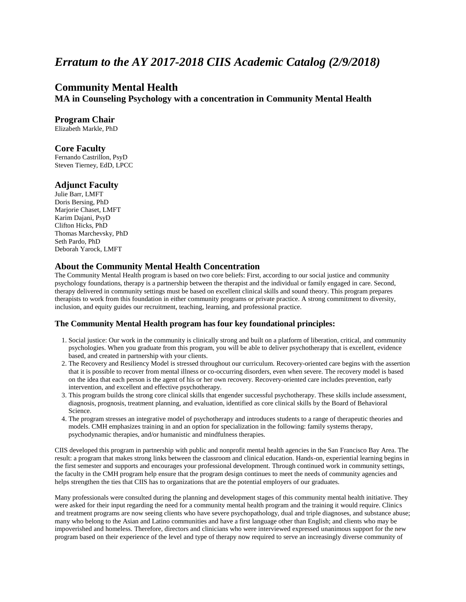# *Erratum to the AY 2017-2018 CIIS Academic Catalog (2/9/2018)*

## **Community Mental Health**

**MA in Counseling Psychology with a concentration in Community Mental Health** 

### **Program Chair**

Elizabeth Markle, PhD

#### **Core Faculty**

Fernando Castrillon, PsyD Steven Tierney, EdD, LPCC

## **Adjunct Faculty**

Julie Barr, LMFT Doris Bersing, PhD Marjorie Chaset, LMFT Karim Dajani, PsyD Clifton Hicks, PhD Thomas Marchevsky, PhD Seth Pardo, PhD Deborah Yarock, LMFT

#### **About the Community Mental Health Concentration**

The Community Mental Health program is based on two core beliefs: First, according to our social justice and community psychology foundations, therapy is a partnership between the therapist and the individual or family engaged in care. Second, therapy delivered in community settings must be based on excellent clinical skills and sound theory. This program prepares therapists to work from this foundation in either community programs or private practice. A strong commitment to diversity, inclusion, and equity guides our recruitment, teaching, learning, and professional practice.

#### **The Community Mental Health program has four key foundational principles:**

- 1. Social justice: Our work in the community is clinically strong and built on a platform of liberation, critical, and community psychologies. When you graduate from this program, you will be able to deliver psychotherapy that is excellent, evidence based, and created in partnership with your clients.
- 2. The Recovery and Resiliency Model is stressed throughout our curriculum. Recovery-oriented care begins with the assertion that it is possible to recover from mental illness or co-occurring disorders, even when severe. The recovery model is based on the idea that each person is the agent of his or her own recovery. Recovery-oriented care includes prevention, early intervention, and excellent and effective psychotherapy.
- 3. This program builds the strong core clinical skills that engender successful psychotherapy. These skills include assessment, diagnosis, prognosis, treatment planning, and evaluation, identified as core clinical skills by the Board of Behavioral Science.
- 4. The program stresses an integrative model of psychotherapy and introduces students to a range of therapeutic theories and models. CMH emphasizes training in and an option for specialization in the following: family systems therapy, psychodynamic therapies, and/or humanistic and mindfulness therapies.

CIIS developed this program in partnership with public and nonprofit mental health agencies in the San Francisco Bay Area. The result: a program that makes strong links between the classroom and clinical education. Hands-on, experiential learning begins in the first semester and supports and encourages your professional development. Through continued work in community settings, the faculty in the CMH program help ensure that the program design continues to meet the needs of community agencies and helps strengthen the ties that CIIS has to organizations that are the potential employers of our graduates.

Many professionals were consulted during the planning and development stages of this community mental health initiative. They were asked for their input regarding the need for a community mental health program and the training it would require. Clinics and treatment programs are now seeing clients who have severe psychopathology, dual and triple diagnoses, and substance abuse; many who belong to the Asian and Latino communities and have a first language other than English; and clients who may be impoverished and homeless. Therefore, directors and clinicians who were interviewed expressed unanimous support for the new program based on their experience of the level and type of therapy now required to serve an increasingly diverse community of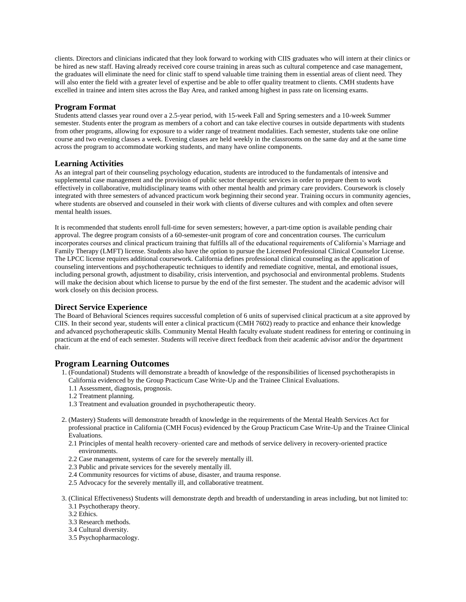clients. Directors and clinicians indicated that they look forward to working with CIIS graduates who will intern at their clinics or be hired as new staff. Having already received core course training in areas such as cultural competence and case management, the graduates will eliminate the need for clinic staff to spend valuable time training them in essential areas of client need. They will also enter the field with a greater level of expertise and be able to offer quality treatment to clients. CMH students have excelled in trainee and intern sites across the Bay Area, and ranked among highest in pass rate on licensing exams.

### **Program Format**

Students attend classes year round over a 2.5-year period, with 15-week Fall and Spring semesters and a 10-week Summer semester. Students enter the program as members of a cohort and can take elective courses in outside departments with students from other programs, allowing for exposure to a wider range of treatment modalities. Each semester, students take one online course and two evening classes a week. Evening classes are held weekly in the classrooms on the same day and at the same time across the program to accommodate working students, and many have online components.

#### **Learning Activities**

As an integral part of their counseling psychology education, students are introduced to the fundamentals of intensive and supplemental case management and the provision of public sector therapeutic services in order to prepare them to work effectively in collaborative, multidisciplinary teams with other mental health and primary care providers. Coursework is closely integrated with three semesters of advanced practicum work beginning their second year. Training occurs in community agencies, where students are observed and counseled in their work with clients of diverse cultures and with complex and often severe mental health issues.

It is recommended that students enroll full-time for seven semesters; however, a part-time option is available pending chair approval. The degree program consists of a 60-semester-unit program of core and concentration courses. The curriculum incorporates courses and clinical practicum training that fulfills all of the educational requirements of California's Marriage and Family Therapy (LMFT) license. Students also have the option to pursue the Licensed Professional Clinical Counselor License. The LPCC license requires additional coursework. California defines professional clinical counseling as the application of counseling interventions and psychotherapeutic techniques to identify and remediate cognitive, mental, and emotional issues, including personal growth, adjustment to disability, crisis intervention, and psychosocial and environmental problems. Students will make the decision about which license to pursue by the end of the first semester. The student and the academic advisor will work closely on this decision process.

#### **Direct Service Experience**

The Board of Behavioral Sciences requires successful completion of 6 units of supervised clinical practicum at a site approved by CIIS. In their second year, students will enter a clinical practicum (CMH 7602) ready to practice and enhance their knowledge and advanced psychotherapeutic skills. Community Mental Health faculty evaluate student readiness for entering or continuing in practicum at the end of each semester. Students will receive direct feedback from their academic advisor and/or the department chair.

#### **Program Learning Outcomes**

- 1. (Foundational) Students will demonstrate a breadth of knowledge of the responsibilities of licensed psychotherapists in California evidenced by the Group Practicum Case Write-Up and the Trainee Clinical Evaluations.
	- 1.1 Assessment, diagnosis, prognosis.
	- 1.2 Treatment planning.
	- 1.3 Treatment and evaluation grounded in psychotherapeutic theory.
- 2. (Mastery) Students will demonstrate breadth of knowledge in the requirements of the Mental Health Services Act for professional practice in California (CMH Focus) evidenced by the Group Practicum Case Write-Up and the Trainee Clinical Evaluations.
	- 2.1 Principles of mental health recovery–oriented care and methods of service delivery in recovery-oriented practice environments.
	- 2.2 Case management, systems of care for the severely mentally ill.
	- 2.3 Public and private services for the severely mentally ill.
	- 2.4 Community resources for victims of abuse, disaster, and trauma response.
	- 2.5 Advocacy for the severely mentally ill, and collaborative treatment.
- 3. (Clinical Effectiveness) Students will demonstrate depth and breadth of understanding in areas including, but not limited to:
	- 3.1 Psychotherapy theory.
	- 3.2 Ethics.
	- 3.3 Research methods.
	- 3.4 Cultural diversity.
	- 3.5 Psychopharmacology.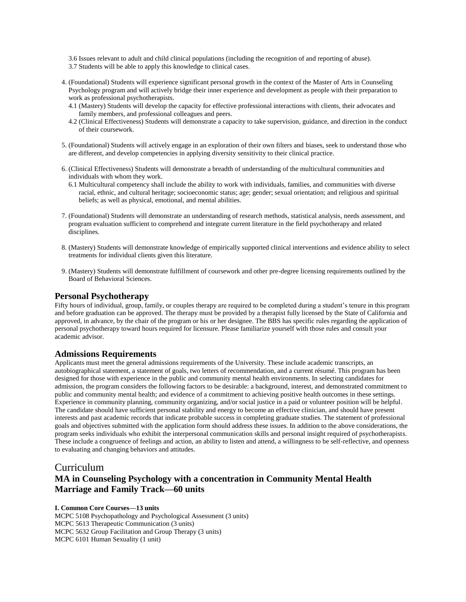3.6 Issues relevant to adult and child clinical populations (including the recognition of and reporting of abuse). 3.7 Students will be able to apply this knowledge to clinical cases.

- 4. (Foundational) Students will experience significant personal growth in the context of the Master of Arts in Counseling Psychology program and will actively bridge their inner experience and development as people with their preparation to work as professional psychotherapists.
	- 4.1 (Mastery) Students will develop the capacity for effective professional interactions with clients, their advocates and family members, and professional colleagues and peers.
	- 4.2 (Clinical Effectiveness) Students will demonstrate a capacity to take supervision, guidance, and direction in the conduct of their coursework.
- 5. (Foundational) Students will actively engage in an exploration of their own filters and biases, seek to understand those who are different, and develop competencies in applying diversity sensitivity to their clinical practice.
- 6. (Clinical Effectiveness) Students will demonstrate a breadth of understanding of the multicultural communities and individuals with whom they work.
	- 6.1 Multicultural competency shall include the ability to work with individuals, families, and communities with diverse racial, ethnic, and cultural heritage; socioeconomic status; age; gender; sexual orientation; and religious and spiritual beliefs; as well as physical, emotional, and mental abilities.
- 7. (Foundational) Students will demonstrate an understanding of research methods, statistical analysis, needs assessment, and program evaluation sufficient to comprehend and integrate current literature in the field psychotherapy and related disciplines.
- 8. (Mastery) Students will demonstrate knowledge of empirically supported clinical interventions and evidence ability to select treatments for individual clients given this literature.
- 9. (Mastery) Students will demonstrate fulfillment of coursework and other pre-degree licensing requirements outlined by the Board of Behavioral Sciences.

## **Personal Psychotherapy**

Fifty hours of individual, group, family, or couples therapy are required to be completed during a student's tenure in this program and before graduation can be approved. The therapy must be provided by a therapist fully licensed by the State of California and approved, in advance, by the chair of the program or his or her designee. The BBS has specific rules regarding the application of personal psychotherapy toward hours required for licensure. Please familiarize yourself with those rules and consult your academic advisor.

#### **Admissions Requirements**

Applicants must meet the general admissions requirements of the University. These include academic transcripts, an autobiographical statement, a statement of goals, two letters of recommendation, and a current résumé. This program has been designed for those with experience in the public and community mental health environments. In selecting candidates for admission, the program considers the following factors to be desirable: a background, interest, and demonstrated commitment to public and community mental health; and evidence of a commitment to achieving positive health outcomes in these settings. Experience in community planning, community organizing, and/or social justice in a paid or volunteer position will be helpful. The candidate should have sufficient personal stability and energy to become an effective clinician, and should have present interests and past academic records that indicate probable success in completing graduate studies. The statement of professional goals and objectives submitted with the application form should address these issues. In addition to the above considerations, the program seeks individuals who exhibit the interpersonal communication skills and personal insight required of psychotherapists. These include a congruence of feelings and action, an ability to listen and attend, a willingness to be self-reflective, and openness to evaluating and changing behaviors and attitudes.

## Curriculum **MA in Counseling Psychology with a concentration in Community Mental Health Marriage and Family Track—60 units**

**I. Common Core Courses—13 units** MCPC 5108 Psychopathology and Psychological Assessment (3 units) MCPC 5613 Therapeutic Communication (3 units) MCPC 5632 Group Facilitation and Group Therapy (3 units) MCPC 6101 Human Sexuality (1 unit)